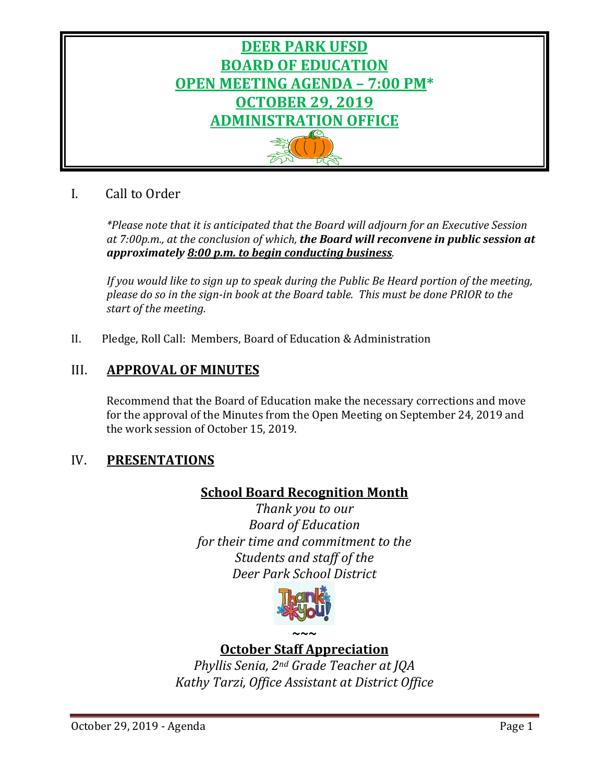

# I. Call to Order

*\*Please note that it is anticipated that the Board will adjourn for an Executive Session at 7:00p.m., at the conclusion of which, the Board will reconvene in public session at approximately 8:00 p.m. to begin conducting business.*

*If you would like to sign up to speak during the Public Be Heard portion of the meeting, please do so in the sign-in book at the Board table. This must be done PRIOR to the start of the meeting.* 

II. Pledge, Roll Call: Members, Board of Education & Administration

# III. **APPROVAL OF MINUTES**

Recommend that the Board of Education make the necessary corrections and move for the approval of the Minutes from the Open Meeting on September 24, 2019 and the work session of October 15, 2019.

# IV. **PRESENTATIONS**

## **School Board Recognition Month**

*Thank you to our Board of Education for their time and commitment to the Students and staff of the Deer Park School District*



# **October Staff Appreciation**

*Phyllis Senia, 2nd Grade Teacher at JQA Kathy Tarzi, Office Assistant at District Office*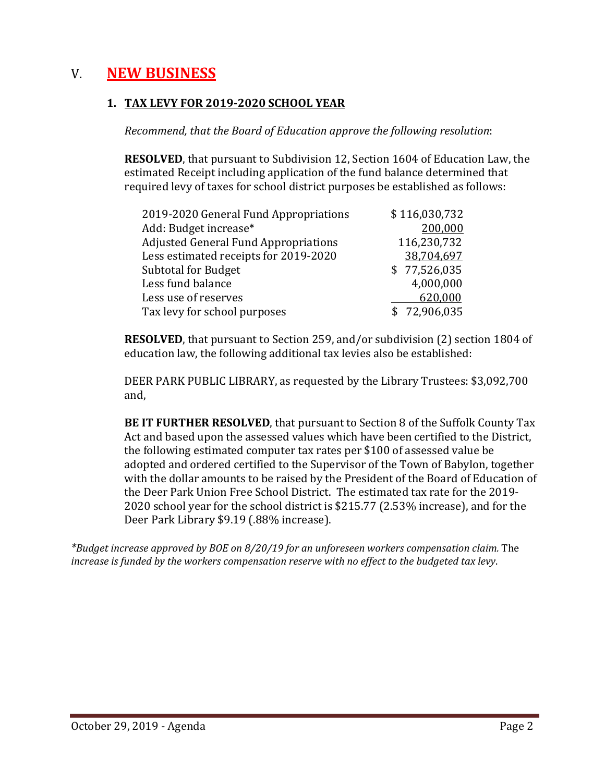# V. **NEW BUSINESS**

## **1. TAX LEVY FOR 2019-2020 SCHOOL YEAR**

*Recommend, that the Board of Education approve the following resolution*:

**RESOLVED**, that pursuant to Subdivision 12, Section 1604 of Education Law, the estimated Receipt including application of the fund balance determined that required levy of taxes for school district purposes be established as follows:

| \$116,030,732 |
|---------------|
| 200,000       |
| 116,230,732   |
| 38,704,697    |
| \$77,526,035  |
| 4,000,000     |
| 620,000       |
| \$72,906,035  |
|               |

**RESOLVED**, that pursuant to Section 259, and/or subdivision (2) section 1804 of education law, the following additional tax levies also be established:

DEER PARK PUBLIC LIBRARY, as requested by the Library Trustees: \$3,092,700 and,

**BE IT FURTHER RESOLVED**, that pursuant to Section 8 of the Suffolk County Tax Act and based upon the assessed values which have been certified to the District, the following estimated computer tax rates per \$100 of assessed value be adopted and ordered certified to the Supervisor of the Town of Babylon, together with the dollar amounts to be raised by the President of the Board of Education of the Deer Park Union Free School District. The estimated tax rate for the 2019- 2020 school year for the school district is \$215.77 (2.53% increase), and for the Deer Park Library \$9.19 (.88% increase).

*\*Budget increase approved by BOE on 8/20/19 for an unforeseen workers compensation claim.* The *increase is funded by the workers compensation reserve with no effect to the budgeted tax levy*.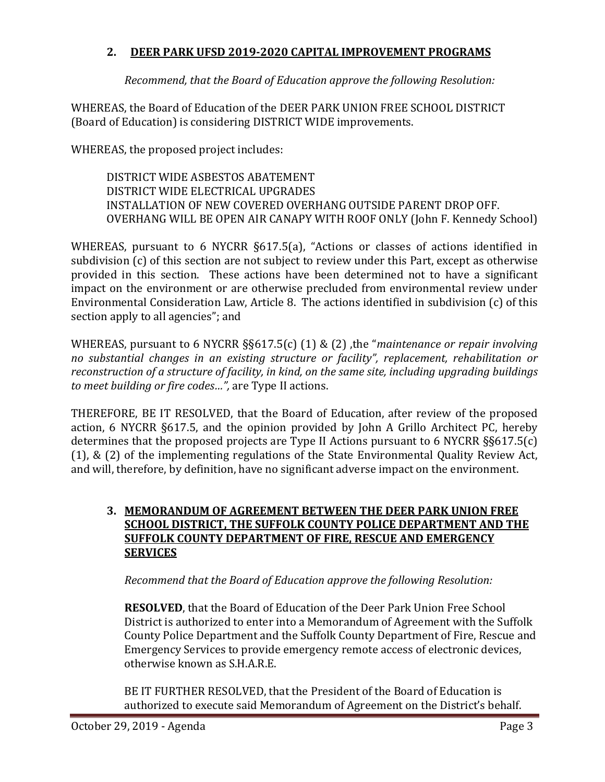## **2. DEER PARK UFSD 2019-2020 CAPITAL IMPROVEMENT PROGRAMS**

*Recommend, that the Board of Education approve the following Resolution:*

WHEREAS, the Board of Education of the DEER PARK UNION FREE SCHOOL DISTRICT (Board of Education) is considering DISTRICT WIDE improvements.

WHEREAS, the proposed project includes:

DISTRICT WIDE ASBESTOS ABATEMENT DISTRICT WIDE ELECTRICAL UPGRADES INSTALLATION OF NEW COVERED OVERHANG OUTSIDE PARENT DROP OFF. OVERHANG WILL BE OPEN AIR CANAPY WITH ROOF ONLY (John F. Kennedy School)

WHEREAS, pursuant to 6 NYCRR §617.5(a), "Actions or classes of actions identified in subdivision (c) of this section are not subject to review under this Part, except as otherwise provided in this section. These actions have been determined not to have a significant impact on the environment or are otherwise precluded from environmental review under Environmental Consideration Law, Article 8. The actions identified in subdivision (c) of this section apply to all agencies"; and

WHEREAS, pursuant to 6 NYCRR §§617.5(c) (1) & (2) ,the "*maintenance or repair involving no substantial changes in an existing structure or facility", replacement, rehabilitation or reconstruction of a structure of facility, in kind, on the same site, including upgrading buildings to meet building or fire codes…",* are Type II actions.

THEREFORE, BE IT RESOLVED, that the Board of Education, after review of the proposed action, 6 NYCRR §617.5, and the opinion provided by John A Grillo Architect PC, hereby determines that the proposed projects are Type II Actions pursuant to 6 NYCRR §§617.5(c) (1), & (2) of the implementing regulations of the State Environmental Quality Review Act, and will, therefore, by definition, have no significant adverse impact on the environment.

## **3. MEMORANDUM OF AGREEMENT BETWEEN THE DEER PARK UNION FREE SCHOOL DISTRICT, THE SUFFOLK COUNTY POLICE DEPARTMENT AND THE SUFFOLK COUNTY DEPARTMENT OF FIRE, RESCUE AND EMERGENCY SERVICES**

*Recommend that the Board of Education approve the following Resolution:*

**RESOLVED**, that the Board of Education of the Deer Park Union Free School District is authorized to enter into a Memorandum of Agreement with the Suffolk County Police Department and the Suffolk County Department of Fire, Rescue and Emergency Services to provide emergency remote access of electronic devices, otherwise known as S.H.A.R.E.

BE IT FURTHER RESOLVED, that the President of the Board of Education is authorized to execute said Memorandum of Agreement on the District's behalf.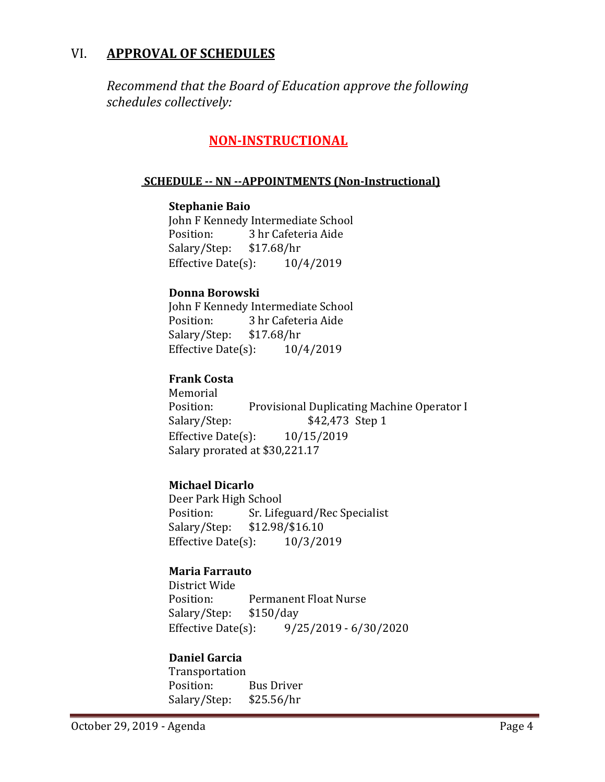## VI. **APPROVAL OF SCHEDULES**

*Recommend that the Board of Education approve the following schedules collectively:*

## **NON-INSTRUCTIONAL**

#### **SCHEDULE -- NN --APPOINTMENTS (Non-Instructional)**

#### **Stephanie Baio**

John F Kennedy Intermediate School<br>Position: 3 hr Cafeteria Aide 3 hr Cafeteria Aide<br>\$17.68/hr Salary/Step: \$17.68/hr<br>Effective Date(s): 10/4/2019 Effective Date $(s)$ :

#### **Donna Borowski**

John F Kennedy Intermediate School<br>Position: 3 hr Cafeteria Aide 3 hr Cafeteria Aide<br>\$17.68/hr Salary/Step: \$17.68/hr<br>Effective Date(s): 10/4/2019 Effective Date $(s)$ :

## **Frank Costa**

Memorial<br>Position: Position: Provisional Duplicating Machine Operator I<br>Salary/Step: \$42,473 Step 1 \$42,473 Step 1 Effective Date(s): 10/15/2019 Salary prorated at \$30,221.17

## **Michael Dicarlo**

Deer Park High School<br>Position: Sr. Life Position: Sr. Lifeguard/Rec Specialist<br>Salary/Step: \$12.98/\$16.10 \$12.98/\$16.10 Effective Date $(s)$ :  $10/3/2019$ 

## **Maria Farrauto**

District Wide Permanent Float Nurse<br>\$150/day Salary/Step: \$1<br>Effective Date(s): Effective Date(s): 9/25/2019 - 6/30/2020

## **Daniel Garcia**

Transportation<br>Position: Bus Driver<br>\$25.56/hr Salary/Step: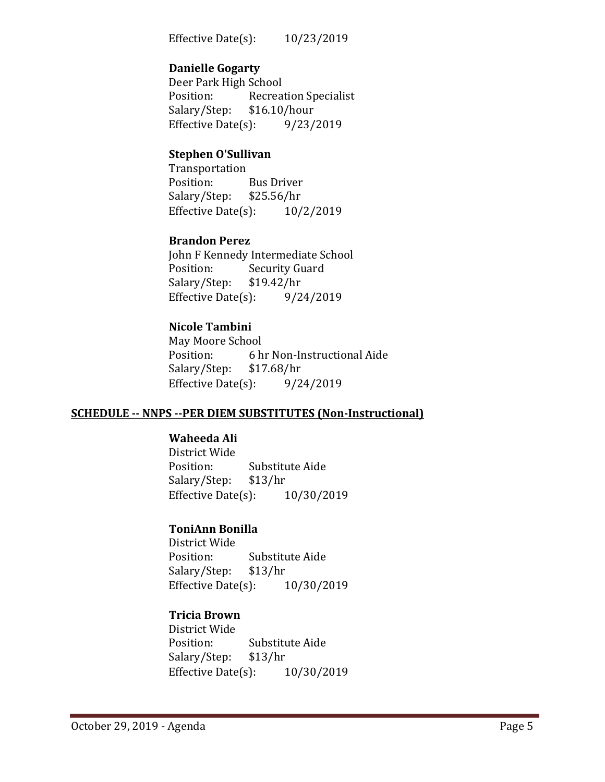Effective Date(s): 10/23/2019

#### **Danielle Gogarty**

Deer Park High School<br>Position: Recrea Recreation Specialist<br>\$16.10/hour Salary/Step: \$16.10/hour<br>Effective Date(s): 9/23/2019 Effective Date $(s)$ :

#### **Stephen O'Sullivan**

Transportation<br>Position: Bus Driver<br>\$25.56/hr Salary/Step: \$25.56/hr<br>Effective Date(s): 10/2/2019 Effective Date $(s)$ :

## **Brandon Perez**

John F Kennedy Intermediate School<br>Position: Security Guard Security Guard<br>\$19.42/hr Salary/Step: Effective Date(s):  $9/24/2019$ 

#### **Nicole Tambini**

May Moore School<br>Position: 6 h 6 hr Non-Instructional Aide<br>\$17.68/hr Salary/Step: \$17.68/hr<br>Effective Date(s): 9/24/2019 Effective Date $(s)$ :

#### **SCHEDULE -- NNPS --PER DIEM SUBSTITUTES (Non-Instructional)**

#### **Waheeda Ali**

District Wide Substitute Aide<br>\$13/hr Salary/Step: Effective Date(s): 10/30/2019

## **ToniAnn Bonilla**

District Wide Substitute Aide<br>\$13/hr Salary/Step: Effective Date(s): 10/30/2019

## **Tricia Brown**

District Wide Substitute Aide<br>\$13/hr Salary/Step: \$13/hr<br>Effective Date(s): 10/30/2019 Effective Date $(s)$ :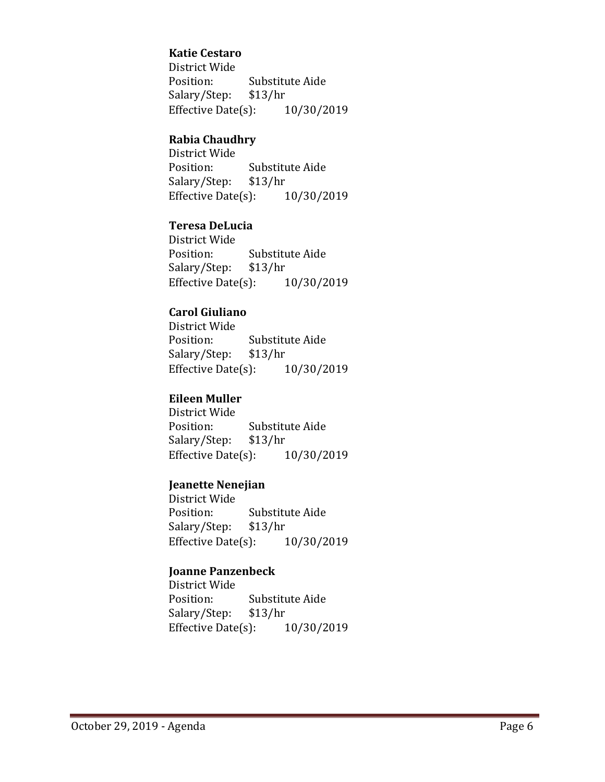## **Katie Cestaro**

District Wide Substitute Aide<br>\$13/hr Salary/Step: \$13/hr<br>Effective Date(s): 10/30/2019 Effective Date $(s)$ :

## **Rabia Chaudhry**

District Wide Substitute Aide<br>\$13/hr Salary/Step: \$13/hr<br>Effective Date(s): 10/30/2019 Effective Date $(s)$ :

## **Teresa DeLucia**

District Wide Substitute Aide<br>\$13/hr Salary/Step: \$13/hr<br>Effective Date(s): 10/30/2019 Effective Date $(s)$ :

## **Carol Giuliano**

District Wide Substitute Aide<br>\$13/hr Salary/Step: \$13/hr<br>Effective Date(s): 10/30/2019 Effective Date $(s)$ :

## **Eileen Muller**

District Wide Substitute Aide<br>\$13/hr Salary/Step: Effective Date(s): 10/30/2019

## **Jeanette Nenejian**

District Wide Substitute Aide<br>\$13/hr Salary/Step: \$13/hr<br>Effective Date(s): 10/30/2019 Effective Date $(s)$ :

## **Joanne Panzenbeck**

District Wide Substitute Aide<br>\$13/hr Salary/Step: Effective Date(s): 10/30/2019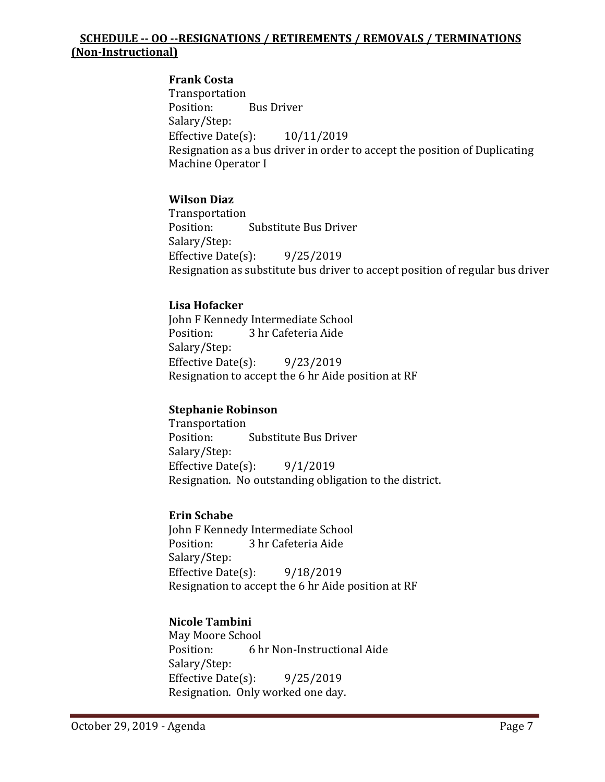## **SCHEDULE -- OO --RESIGNATIONS / RETIREMENTS / REMOVALS / TERMINATIONS (Non-Instructional)**

## **Frank Costa**

Transportation<br>Position: **Bus Driver** Salary/Step: Effective Date(s): 10/11/2019 Resignation as a bus driver in order to accept the position of Duplicating Machine Operator I

## **Wilson Diaz**

Transportation<br>Position: Substitute Bus Driver Salary/Step: Effective Date(s): 9/25/2019 Resignation as substitute bus driver to accept position of regular bus driver

#### **Lisa Hofacker**

John F Kennedy Intermediate School<br>Position: 3 hr Cafeteria Aide 3 hr Cafeteria Aide Salary/Step: Effective Date(s): 9/23/2019 Resignation to accept the 6 hr Aide position at RF

#### **Stephanie Robinson**

Transportation<br>Position: Substitute Bus Driver Salary/Step: Effective Date(s):  $9/1/2019$ Resignation. No outstanding obligation to the district.

#### **Erin Schabe**

John F Kennedy Intermediate School<br>Position: 3 hr Cafeteria Aide 3 hr Cafeteria Aide Salary/Step: Effective Date(s): 9/18/2019 Resignation to accept the 6 hr Aide position at RF

## **Nicole Tambini**

May Moore School<br>Position: 6 h 6 hr Non-Instructional Aide Salary/Step: Effective Date(s): 9/25/2019 Resignation. Only worked one day.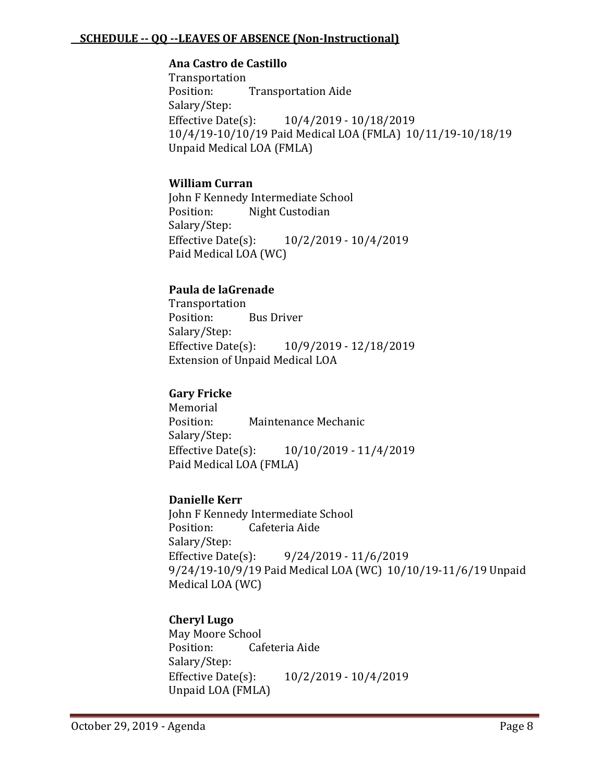#### **SCHEDULE -- QQ --LEAVES OF ABSENCE (Non-Instructional)**

#### **Ana Castro de Castillo**

Transportation<br>Position: **Transportation Aide** Salary/Step:<br>Effective Date(s): Effective Date(s): 10/4/2019 - 10/18/2019 10/4/19-10/10/19 Paid Medical LOA (FMLA) 10/11/19-10/18/19 Unpaid Medical LOA (FMLA)

## **William Curran**

John F Kennedy Intermediate School<br>Position: Night Custodian Night Custodian Salary/Step:<br>Effective Date(s): Effective Date(s): 10/2/2019 - 10/4/2019 Paid Medical LOA (WC)

## **Paula de laGrenade**

Transportation<br>Position: **Bus Driver** Salary/Step: Effective Date(s): 10/9/2019 - 12/18/2019 Extension of Unpaid Medical LOA

## **Gary Fricke**

Memorial<br>Position: Maintenance Mechanic Salary/Step:<br>Effective Date(s): Effective Date(s): 10/10/2019 - 11/4/2019 Paid Medical LOA (FMLA)

## **Danielle Kerr**

John F Kennedy Intermediate School<br>Position: Cafeteria Aide Cafeteria Aide Salary/Step: Effective Date(s): 9/24/2019 - 11/6/2019 9/24/19-10/9/19 Paid Medical LOA (WC) 10/10/19-11/6/19 Unpaid Medical LOA (WC)

## **Cheryl Lugo**

May Moore School Cafeteria Aide Salary/Step:<br>Effective Date(s): Effective Date(s): 10/2/2019 - 10/4/2019 Unpaid LOA (FMLA)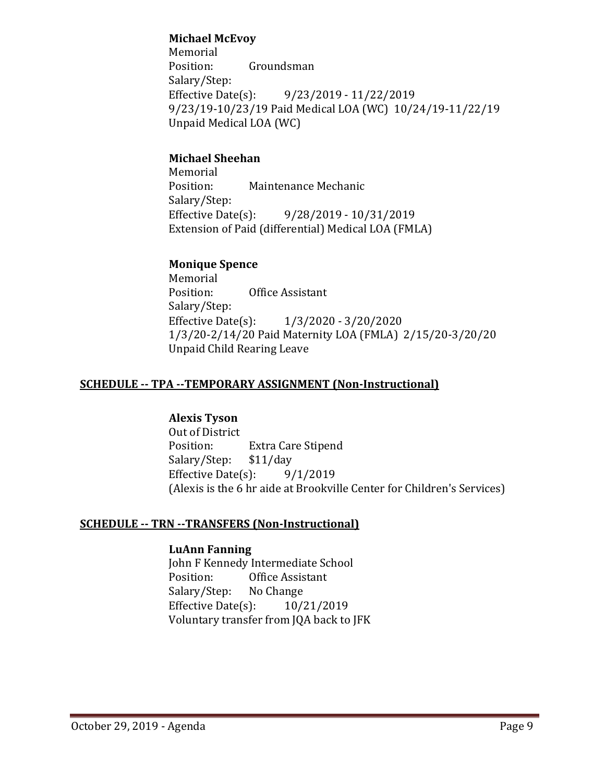## **Michael McEvoy**

Memorial<br>Position: Groundsman Salary/Step:<br>Effective Date(s): Effective Date(s): 9/23/2019 - 11/22/2019 9/23/19-10/23/19 Paid Medical LOA (WC) 10/24/19-11/22/19 Unpaid Medical LOA (WC)

## **Michael Sheehan**

Memorial<br>Position: Maintenance Mechanic Salary/Step:<br>Effective Date(s): Effective Date(s): 9/28/2019 - 10/31/2019 Extension of Paid (differential) Medical LOA (FMLA)

## **Monique Spence**

Memorial<br>Position: Office Assistant Salary/Step:<br>Effective Date(s):  $1/3/2020 - 3/20/2020$ 1/3/20-2/14/20 Paid Maternity LOA (FMLA) 2/15/20-3/20/20 Unpaid Child Rearing Leave

## **SCHEDULE -- TPA --TEMPORARY ASSIGNMENT (Non-Instructional)**

## **Alexis Tyson**

Out of District<br>Position: Extra Care Stipend<br>\$11/day Salary/Step: \$11/day<br>Effective Date(s): 9/1/2019 Effective Date $(s)$ : (Alexis is the 6 hr aide at Brookville Center for Children's Services)

## **SCHEDULE -- TRN --TRANSFERS (Non-Instructional)**

## **LuAnn Fanning**

John F Kennedy Intermediate School<br>Position: 0ffice Assistant Office Assistant<br>No Change Salary/Step: No Change<br>Effective Date(s): 10/21/2019 Effective Date $(s)$ : Voluntary transfer from JQA back to JFK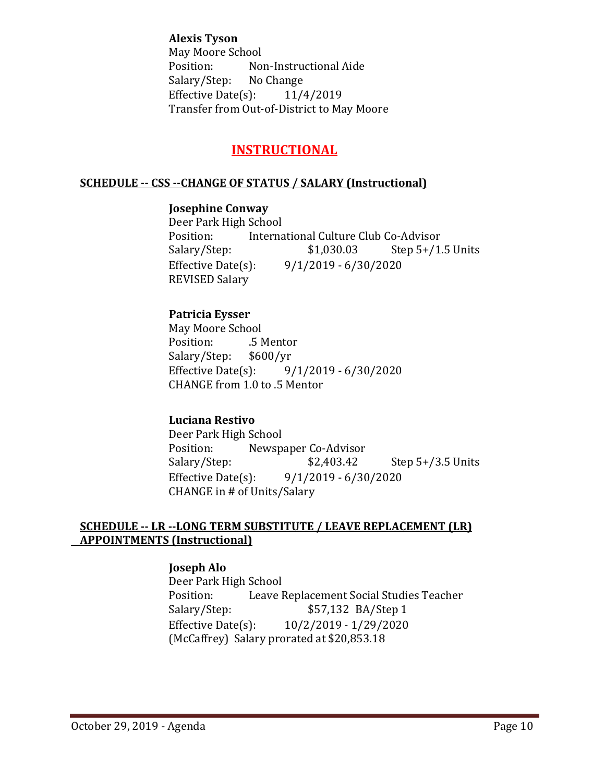**Alexis Tyson** May Moore School<br>Position: No Non-Instructional Aide<br>No Change Salary/Step: Effective Date(s): 11/4/2019 Transfer from Out-of-District to May Moore

## **INSTRUCTIONAL**

#### **SCHEDULE -- CSS --CHANGE OF STATUS / SALARY (Instructional)**

#### **Josephine Conway**

Deer Park High School Position: International Culture Club Co-Advisor<br>Salary/Step: \$1,030.03 Step 5+/1. Step  $5+/1.5$  Units Effective Date(s): 9/1/2019 - 6/30/2020 REVISED Salary

## **Patricia Eysser**

May Moore School<br>Position: 5 M .5 Mentor<br>\$600/yr Salary/Step: \$6<br>Effective Date(s):  $9/1/2019 - 6/30/2020$ CHANGE from 1.0 to .5 Mentor

## **Luciana Restivo**

Deer Park High School<br>Position: Newsp Position: Newspaper Co-Advisor<br>Salary/Step: \$2,403.42 Step  $5+/3.5$  Units Effective Date(s): 9/1/2019 - 6/30/2020 CHANGE in # of Units/Salary

#### **SCHEDULE -- LR --LONG TERM SUBSTITUTE / LEAVE REPLACEMENT (LR) APPOINTMENTS (Instructional)**

## **Joseph Alo**

Deer Park High School<br>Position: Leave I Position: Leave Replacement Social Studies Teacher<br>Salary/Step: \$57,132 BA/Step 1 Salary/Step: \$57,132 BA/Step 1<br>Effective Date(s): 10/2/2019 - 1/29/2020 Effective Date(s): 10/2/2019 - 1/29/2020 (McCaffrey) Salary prorated at \$20,853.18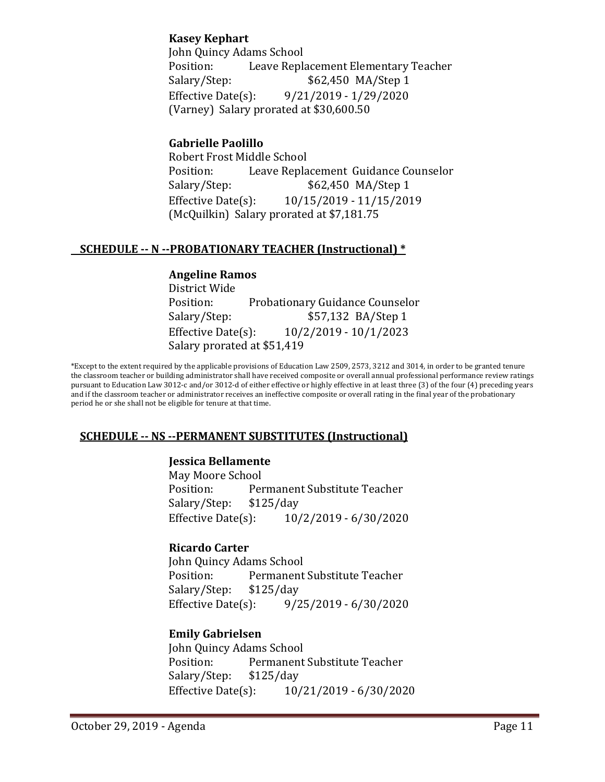## **Kasey Kephart**

John Quincy Adams School Position: Leave Replacement Elementary Teacher<br>Salary/Step: \$62,450 MA/Step 1 \$62,450 MA/Step 1 Effective Date(s): 9/21/2019 - 1/29/2020 (Varney) Salary prorated at \$30,600.50

## **Gabrielle Paolillo**

Robert Frost Middle School<br>Position: Leave Repla Position: Leave Replacement Guidance Counselor<br>Salary/Step: \$62,450 MA/Step 1 \$62,450 MA/Step 1 Effective Date(s): 10/15/2019 - 11/15/2019 (McQuilkin) Salary prorated at \$7,181.75

## **SCHEDULE -- N --PROBATIONARY TEACHER (Instructional) \***

#### **Angeline Ramos**

District Wide Position: Probationary Guidance Counselor<br>Salary/Step: \$57,132 BA/Step 1 Salary/Step: \$57,132 BA/Step 1<br>Effective Date(s): 10/2/2019 - 10/1/2023 Effective Date(s): 10/2/2019 - 10/1/2023 Salary prorated at \$51,419

\*Except to the extent required by the applicable provisions of Education Law 2509, 2573, 3212 and 3014, in order to be granted tenure the classroom teacher or building administrator shall have received composite or overall annual professional performance review ratings pursuant to Education Law 3012-c and/or 3012-d of either effective or highly effective in at least three (3) of the four (4) preceding years and if the classroom teacher or administrator receives an ineffective composite or overall rating in the final year of the probationary period he or she shall not be eligible for tenure at that time.

## **SCHEDULE -- NS --PERMANENT SUBSTITUTES (Instructional)**

## **Jessica Bellamente**

May Moore School<br>Position: Per Permanent Substitute Teacher Salary/Step: \$125/day Effective Date(s): 10/2/2019 - 6/30/2020

## **Ricardo Carter**

John Quincy Adams School Permanent Substitute Teacher<br>\$125/day Salary/Step: \$1<br>Effective Date(s): Effective Date(s): 9/25/2019 - 6/30/2020

## **Emily Gabrielsen**

John Quincy Adams School<br>Position: Permanent Permanent Substitute Teacher<br>\$125/day Salary/Step: Effective Date(s): 10/21/2019 - 6/30/2020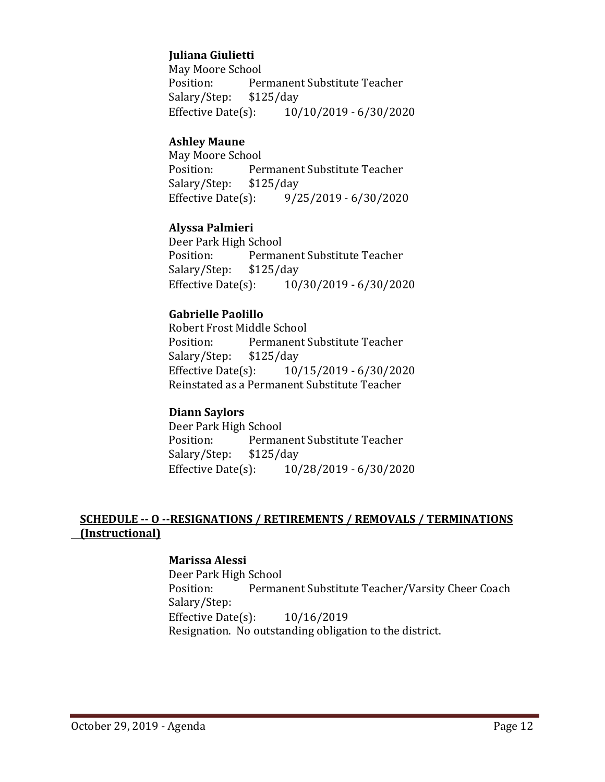## **Juliana Giulietti**

May Moore School Permanent Substitute Teacher<br>\$125/day Salary/Step: \$1<br>Effective Date(s): Effective Date(s): 10/10/2019 - 6/30/2020

#### **Ashley Maune**

May Moore School<br>Position: Per Permanent Substitute Teacher<br>\$125/day Salary/Step: \$1<br>Effective Date(s): Effective Date(s): 9/25/2019 - 6/30/2020

#### **Alyssa Palmieri**

Deer Park High School<br>Position: Permai Permanent Substitute Teacher<br>\$125/day Salary/Step: \$1<br>Effective Date(s): Effective Date(s): 10/30/2019 - 6/30/2020

#### **Gabrielle Paolillo**

Robert Frost Middle School<br>Position: Permanent ! Permanent Substitute Teacher<br>\$125/day Salary/Step: Effective Date(s): 10/15/2019 - 6/30/2020 Reinstated as a Permanent Substitute Teacher

#### **Diann Saylors**

Deer Park High School<br>Position: Permai Permanent Substitute Teacher<br>\$125/day Salary/Step: \$1<br>Effective Date(s): Effective Date(s): 10/28/2019 - 6/30/2020

## **SCHEDULE -- O --RESIGNATIONS / RETIREMENTS / REMOVALS / TERMINATIONS (Instructional)**

## **Marissa Alessi**

Deer Park High School Permanent Substitute Teacher/Varsity Cheer Coach Salary/Step: Effective Date(s): 10/16/2019 Resignation. No outstanding obligation to the district.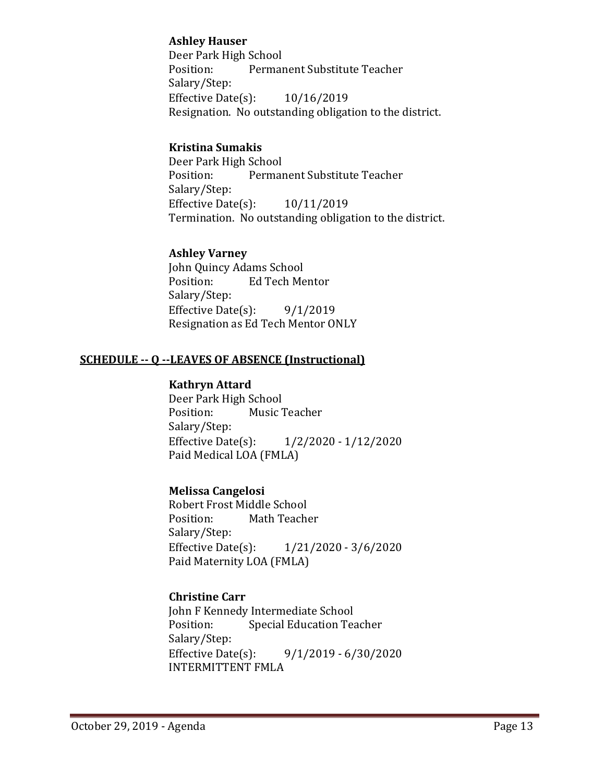## **Ashley Hauser**

Deer Park High School<br>Position: Permai Permanent Substitute Teacher Salary/Step: Effective Date(s): 10/16/2019 Resignation. No outstanding obligation to the district.

## **Kristina Sumakis**

Deer Park High School Permanent Substitute Teacher Salary/Step: Effective Date(s): 10/11/2019 Termination. No outstanding obligation to the district.

## **Ashley Varney**

John Quincy Adams School<br>Position: Ed Tech Me Ed Tech Mentor Salary/Step: Effective Date $(s)$ : 9/1/2019 Resignation as Ed Tech Mentor ONLY

## **SCHEDULE -- Q --LEAVES OF ABSENCE (Instructional)**

#### **Kathryn Attard**

Deer Park High School<br>Position: Music 7 Music Teacher Salary/Step:<br>Effective Date(s):  $1/2/2020 - 1/12/2020$ Paid Medical LOA (FMLA)

## **Melissa Cangelosi**

Robert Frost Middle School<br>Position: Math Teach Math Teacher Salary/Step:<br>Effective Date(s):  $1/21/2020 - 3/6/2020$ Paid Maternity LOA (FMLA)

## **Christine Carr**

John F Kennedy Intermediate School<br>Position: Special Education Tea **Special Education Teacher** Salary/Step:<br>Effective Date(s):  $9/1/2019 - 6/30/2020$ INTERMITTENT FMLA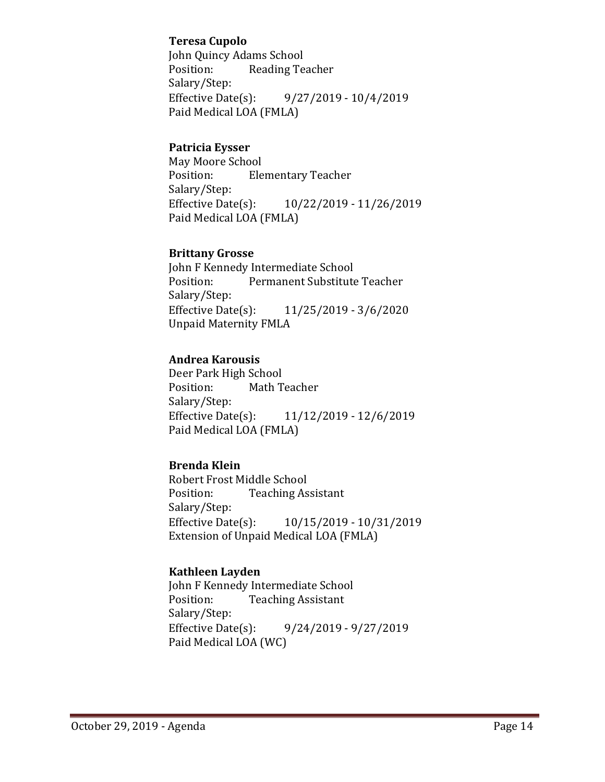## **Teresa Cupolo**

John Quincy Adams School<br>Position: Reading Tea Reading Teacher Salary/Step:<br>Effective Date(s): Effective Date(s): 9/27/2019 - 10/4/2019 Paid Medical LOA (FMLA)

## **Patricia Eysser**

May Moore School<br>Position: Ele **Elementary Teacher** Salary/Step:<br>Effective Date(s): Effective Date(s): 10/22/2019 - 11/26/2019 Paid Medical LOA (FMLA)

## **Brittany Grosse**

John F Kennedy Intermediate School<br>Position: Permanent Substitute Permanent Substitute Teacher Salary/Step:<br>Effective Date(s): Effective Date(s): 11/25/2019 - 3/6/2020 Unpaid Maternity FMLA

## **Andrea Karousis**

Deer Park High School Math Teacher Salary/Step:<br>Effective Date(s): Effective Date(s): 11/12/2019 - 12/6/2019 Paid Medical LOA (FMLA)

## **Brenda Klein**

Robert Frost Middle School<br>Position: Teaching As **Teaching Assistant** Salary/Step:<br>Effective Date(s): Effective Date(s): 10/15/2019 - 10/31/2019 Extension of Unpaid Medical LOA (FMLA)

## **Kathleen Layden**

John F Kennedy Intermediate School<br>Position: Teaching Assistant **Teaching Assistant** Salary/Step:<br>Effective Date(s): Effective Date(s): 9/24/2019 - 9/27/2019 Paid Medical LOA (WC)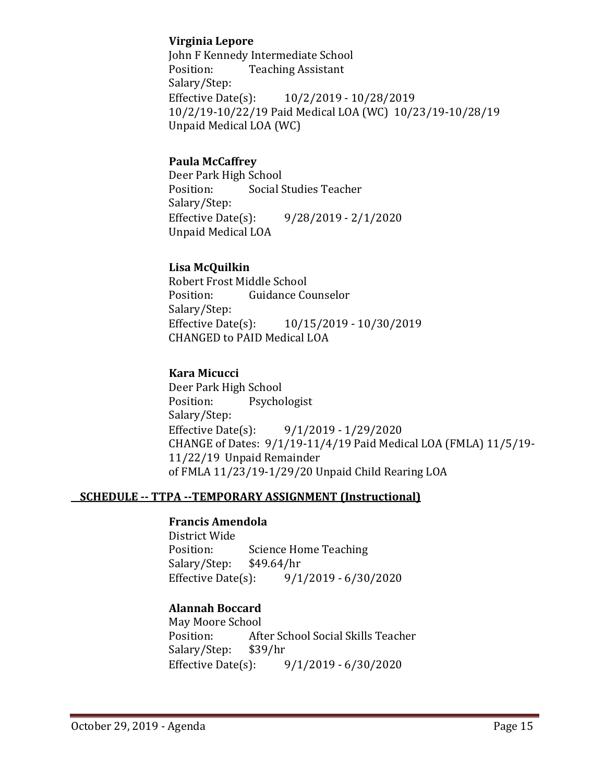## **Virginia Lepore**

John F Kennedy Intermediate School<br>Position: Teaching Assistant **Teaching Assistant** Salary/Step:<br>Effective Date(s): Effective Date(s): 10/2/2019 - 10/28/2019 10/2/19-10/22/19 Paid Medical LOA (WC) 10/23/19-10/28/19 Unpaid Medical LOA (WC)

## **Paula McCaffrey**

Deer Park High School<br>Position: Social S Social Studies Teacher Salary/Step:<br>Effective Date(s):  $9/28/2019 - 2/1/2020$ Unpaid Medical LOA

## **Lisa McQuilkin**

Robert Frost Middle School<br>Position: Guidance Co **Guidance Counselor** Salary/Step:<br>Effective Date(s): Effective Date(s): 10/15/2019 - 10/30/2019 CHANGED to PAID Medical LOA

## **Kara Micucci**

Deer Park High School<br>Position: Psycho Psychologist Salary/Step:<br>Effective Date(s): Effective Date(s): 9/1/2019 - 1/29/2020 CHANGE of Dates: 9/1/19-11/4/19 Paid Medical LOA (FMLA) 11/5/19- 11/22/19 Unpaid Remainder of FMLA 11/23/19-1/29/20 Unpaid Child Rearing LOA

## **SCHEDULE -- TTPA --TEMPORARY ASSIGNMENT (Instructional)**

#### **Francis Amendola**

District Wide Science Home Teaching<br>\$49.64/hr Salary/Step: \$4<br>Effective Date(s):  $9/1/2019 - 6/30/2020$ 

## **Alannah Boccard**

May Moore School<br>Position: Aft After School Social Skills Teacher<br>\$39/hr Salary/Step: \$39/h<br>Effective Date(s):  $9/1/2019 - 6/30/2020$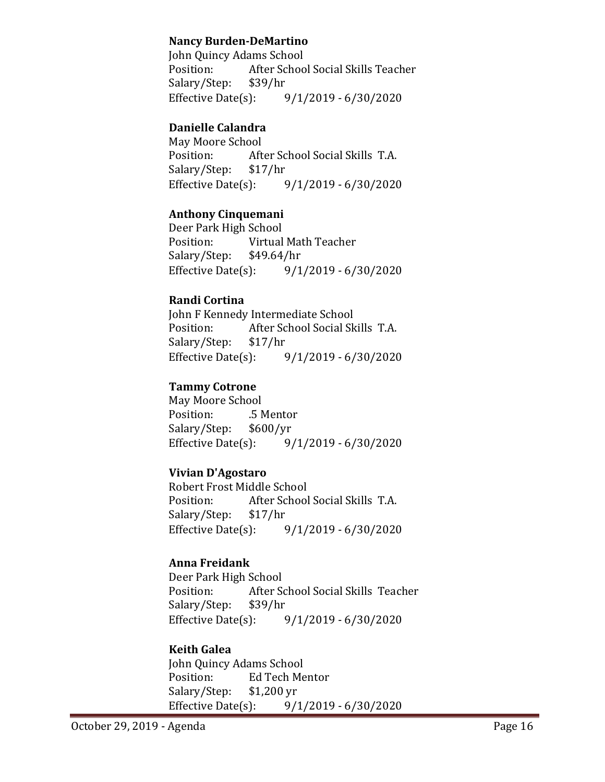## **Nancy Burden-DeMartino**

John Quincy Adams School<br>Position: After Schoo After School Social Skills Teacher<br>\$39/hr Salary/Step: \$3<br>Effective Date(s):  $9/1/2019 - 6/30/2020$ 

## **Danielle Calandra**

May Moore School<br>Position: Afte After School Social Skills T.A.<br>\$17/hr Salary/Step: \$1<br>Effective Date(s):  $9/1/2019 - 6/30/2020$ 

## **Anthony Cinquemani**

Deer Park High School<br>Position: Virtual Virtual Math Teacher<br>\$49.64/hr Salary/Step: Effective Date(s): 9/1/2019 - 6/30/2020

#### **Randi Cortina**

John F Kennedy Intermediate School<br>Position: After School Social Sk After School Social Skills T.A.<br>\$17/hr Salary/Step: \$1<br>Effective Date(s):  $9/1/2019 - 6/30/2020$ 

## **Tammy Cotrone**

May Moore School .5 Mentor<br>\$600/yr Salary/Step: Effective Date(s): 9/1/2019 - 6/30/2020

## **Vivian D'Agostaro**

Robert Frost Middle School<br>Position: After School After School Social Skills T.A.<br>\$17/hr Salary/Step: \$1<br>Effective Date(s):  $9/1/2019 - 6/30/2020$ 

## **Anna Freidank**

Deer Park High School<br>Position: After Sq After School Social Skills Teacher<br>\$39/hr Salary/Step: \$3<br>Effective Date(s):  $9/1/2019 - 6/30/2020$ 

## **Keith Galea**

John Quincy Adams School<br>Position: Ed Tech Me Ed Tech Mentor<br>\$1,200 yr Salary/Step: \$1,20<br>Effective Date(s):  $9/1/2019 - 6/30/2020$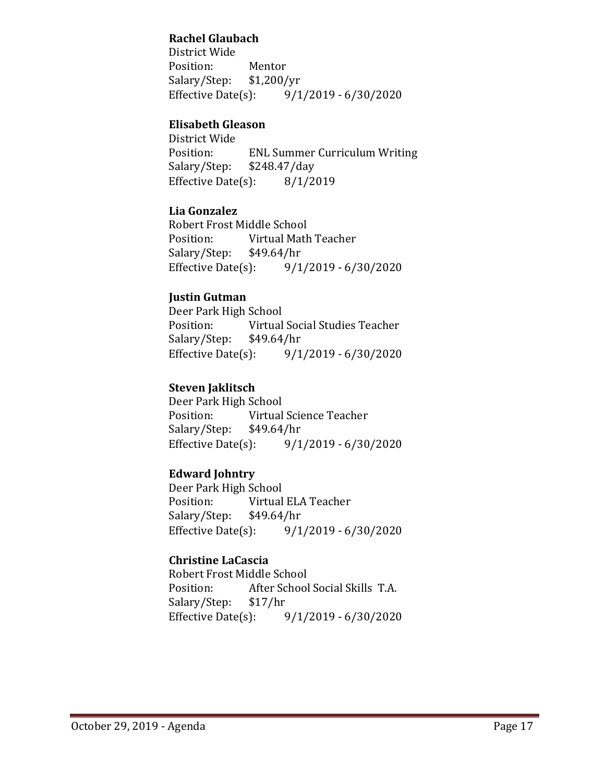## **Rachel Glaubach**

District Wide Position: Mentor<br>Salary/Step: \$1,200/yr Salary/Step: \$1,<br>Effective Date(s):  $9/1/2019 - 6/30/2020$ 

## **Elisabeth Gleason**

District Wide ENL Summer Curriculum Writing<br>\$248.47/day Salary/Step: \$248.47/day<br>Effective Date(s): 8/1/2019 Effective Date $(s)$ :

## **Lia Gonzalez**

Robert Frost Middle School<br>Position: Virtual Math Virtual Math Teacher<br>\$49.64/hr Salary/Step: \$4<br>Effective Date(s): Effective Date(s): 9/1/2019 - 6/30/2020

## **Justin Gutman**

Deer Park High School<br>Position: Virtual Virtual Social Studies Teacher<br>\$49.64/hr Salary/Step: \$4<br>Effective Date(s):  $9/1/2019 - 6/30/2020$ 

## **Steven Jaklitsch**

Deer Park High School<br>Position: Virtual Virtual Science Teacher<br>\$49.64/hr Salary/Step: \$4<br>Effective Date(s):  $9/1/2019 - 6/30/2020$ 

## **Edward Johntry**

Deer Park High School<br>Position: Virtual Virtual ELA Teacher<br>\$49.64/hr Salary/Step: Effective Date(s): 9/1/2019 - 6/30/2020

## **Christine LaCascia**

Robert Frost Middle School<br>Position: After School After School Social Skills T.A.<br>\$17/hr Salary/Step: \$1<br>Effective Date(s):  $9/1/2019 - 6/30/2020$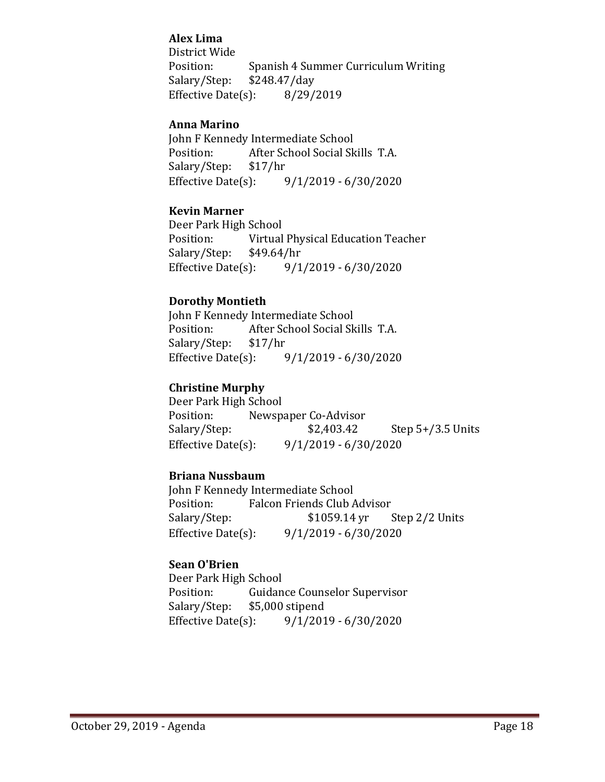## **Alex Lima**

District Wide Position: Spanish 4 Summer Curriculum Writing<br>Salary/Step: \$248.47/day  $$248.47$ /day Effective Date(s): 8/29/2019

## **Anna Marino**

John F Kennedy Intermediate School<br>Position: After School Social Sk After School Social Skills T.A.<br>\$17/hr Salary/Step: \$1<br>Effective Date(s):  $9/1/2019 - 6/30/2020$ 

#### **Kevin Marner**

Deer Park High School<br>Position: Virtual Virtual Physical Education Teacher<br>\$49.64/hr Salary/Step: \$4<br>Effective Date(s): Effective Date(s): 9/1/2019 - 6/30/2020

## **Dorothy Montieth**

John F Kennedy Intermediate School<br>Position: After School Social Sk After School Social Skills T.A.<br>\$17/hr Salary/Step: \$1<br>Effective Date(s): Effective Date(s): 9/1/2019 - 6/30/2020

## **Christine Murphy**

Deer Park High School<br>Position: Newsp Position: Newspaper Co-Advisor<br>Salary/Step: \$2,403.42 Step  $5+/3.5$  Units Effective Date(s): 9/1/2019 - 6/30/2020

#### **Briana Nussbaum**

John F Kennedy Intermediate School<br>Position: Falcon Friends Club A Position: Falcon Friends Club Advisor<br>Salary/Step: \$1059.14 yr Salary/Step: \$1059.14 yr Step 2/2 Units<br>Effective Date(s): 9/1/2019 - 6/30/2020  $9/1/2019 - 6/30/2020$ 

## **Sean O'Brien**

Deer Park High School<br>Position: Guidan Position: Guidance Counselor Supervisor<br>Salary/Step: \$5,000 stipend Salary/Step: \$5,000 stipend<br>Effective Date(s): 9/1/201  $9/1/2019 - 6/30/2020$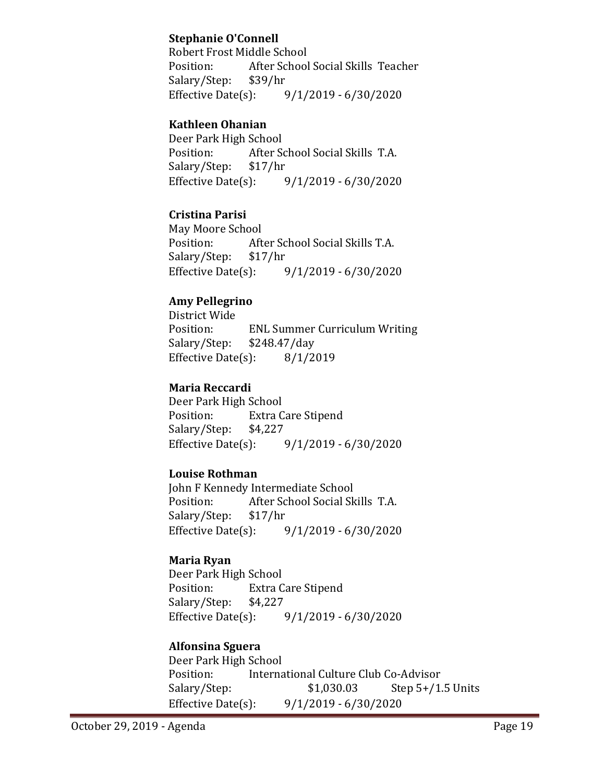## **Stephanie O'Connell**

Robert Frost Middle School<br>Position: After School After School Social Skills Teacher<br>\$39/hr Salary/Step: \$3<br>Effective Date(s):  $9/1/2019 - 6/30/2020$ 

## **Kathleen Ohanian**

Deer Park High School<br>Position: After Sq After School Social Skills T.A.<br>\$17/hr Salary/Step: \$1<br>Effective Date(s):  $9/1/2019 - 6/30/2020$ 

## **Cristina Parisi**

May Moore School<br>Position: Aft After School Social Skills T.A.<br>\$17/hr Salary/Step: \$1<br>Effective Date(s):  $9/1/2019 - 6/30/2020$ 

## **Amy Pellegrino**

District Wide ENL Summer Curriculum Writing<br>\$248.47/day Salary/Step: \$248.47/day<br>Effective Date(s): 8/1/2019 Effective Date $(s)$ :

## **Maria Reccardi**

Deer Park High School<br>Position: Extra C Extra Care Stipend<br>\$4,227 Salary/Step: \$4<br>Effective Date(s):  $9/1/2019 - 6/30/2020$ 

## **Louise Rothman**

John F Kennedy Intermediate School<br>Position: After School Social Sk After School Social Skills T.A.<br>\$17/hr Salary/Step: Effective Date(s): 9/1/2019 - 6/30/2020

## **Maria Ryan**

Deer Park High School Extra Care Stipend<br>\$4,227 Salary/Step: \$4<br>Effective Date(s):  $9/1/2019 - 6/30/2020$ 

## **Alfonsina Sguera**

Deer Park High School Position: International Culture Club Co-Advisor<br>Salary/Step: \$1,030.03 Step 5+/1.  $$1,030.03$  Step 5+/1.5 Units Effective Date(s): 9/1/2019 - 6/30/2020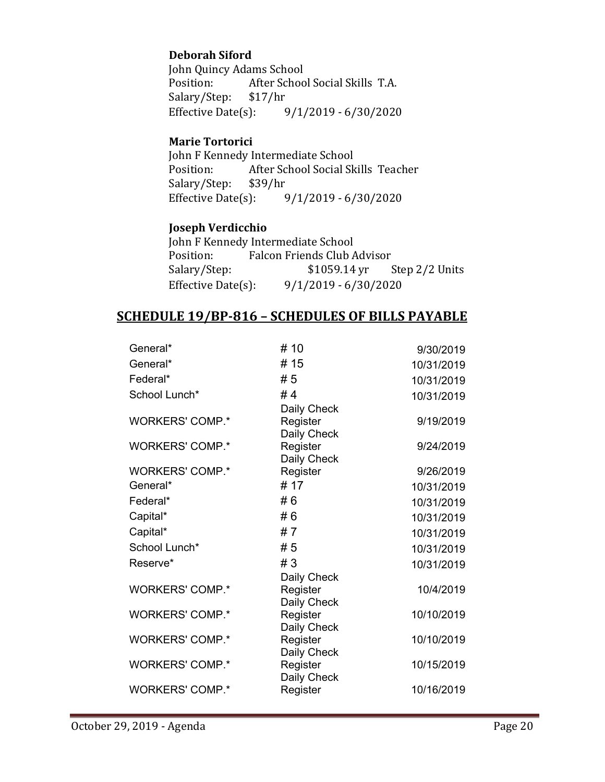## **Deborah Siford**

John Quincy Adams School<br>Position: After Schoo After School Social Skills T.A.<br>\$17/hr Salary/Step: \$1<br>Effective Date(s):  $9/1/2019 - 6/30/2020$ 

## **Marie Tortorici**

John F Kennedy Intermediate School<br>Position: After School Social Sk After School Social Skills Teacher<br>\$39/hr Salary/Step: \$3<br>Effective Date(s):  $9/1/2019 - 6/30/2020$ 

## **Joseph Verdicchio**

| John F Kennedy Intermediate School |                             |                        |                                      |  |  |
|------------------------------------|-----------------------------|------------------------|--------------------------------------|--|--|
| Position:                          | Falcon Friends Club Advisor |                        |                                      |  |  |
| Salary/Step:                       |                             |                        | $$1059.14 \text{ yr}$ Step 2/2 Units |  |  |
| Effective Date $(s)$ :             |                             | $9/1/2019 - 6/30/2020$ |                                      |  |  |

## **SCHEDULE 19/BP-816 – SCHEDULES OF BILLS PAYABLE**

| General*               | # 10                    | 9/30/2019  |
|------------------------|-------------------------|------------|
| General*               | # 15                    | 10/31/2019 |
| Federal*               | #5                      | 10/31/2019 |
| School Lunch*          | #4                      | 10/31/2019 |
|                        | Daily Check             |            |
| <b>WORKERS' COMP.*</b> | Register                | 9/19/2019  |
| <b>WORKERS' COMP.*</b> | Daily Check<br>Register | 9/24/2019  |
|                        | Daily Check             |            |
| <b>WORKERS' COMP.*</b> | Register                | 9/26/2019  |
| General*               | #17                     | 10/31/2019 |
| Federal*               | #6                      | 10/31/2019 |
| Capital*               | #6                      | 10/31/2019 |
| Capital*               | #7                      | 10/31/2019 |
| School Lunch*          | #5                      | 10/31/2019 |
| Reserve*               | #3                      | 10/31/2019 |
|                        | Daily Check             |            |
| <b>WORKERS' COMP.*</b> | Register                | 10/4/2019  |
| <b>WORKERS' COMP.*</b> | Daily Check<br>Register | 10/10/2019 |
|                        | Daily Check             |            |
| <b>WORKERS' COMP.*</b> | Register                | 10/10/2019 |
|                        | Daily Check             |            |
| <b>WORKERS' COMP.*</b> | Register                | 10/15/2019 |
| <b>WORKERS' COMP.*</b> | Daily Check<br>Register | 10/16/2019 |
|                        |                         |            |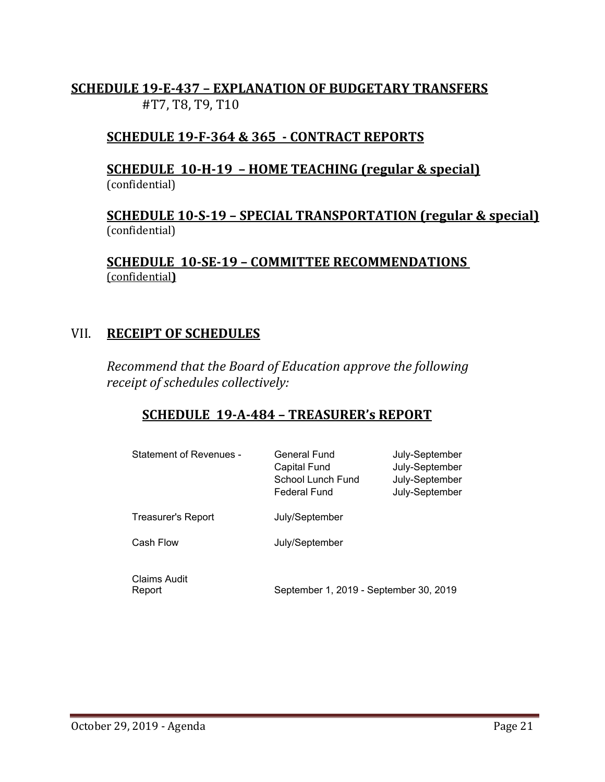## **SCHEDULE 19-E-437 – EXPLANATION OF BUDGETARY TRANSFERS** #T7, T8, T9, T10

# **SCHEDULE 19-F-364 & 365 - CONTRACT REPORTS**

## **SCHEDULE 10-H-19 – HOME TEACHING (regular & special)** (confidential)

## **SCHEDULE 10-S-19 – SPECIAL TRANSPORTATION (regular & special)** (confidential)

**SCHEDULE 10-SE-19 – COMMITTEE RECOMMENDATIONS**  (confidential**)**

## VII. **RECEIPT OF SCHEDULES**

*Recommend that the Board of Education approve the following receipt of schedules collectively:*

# **SCHEDULE 19-A-484 – TREASURER's REPORT**

| Statement of Revenues -   | General Fund<br><b>Capital Fund</b><br>School Lunch Fund<br>Federal Fund | July-September<br>July-September<br>July-September<br>July-September |
|---------------------------|--------------------------------------------------------------------------|----------------------------------------------------------------------|
| <b>Treasurer's Report</b> | July/September                                                           |                                                                      |
| Cash Flow                 | July/September                                                           |                                                                      |
| Claims Audit<br>Report    | September 1, 2019 - September 30, 2019                                   |                                                                      |